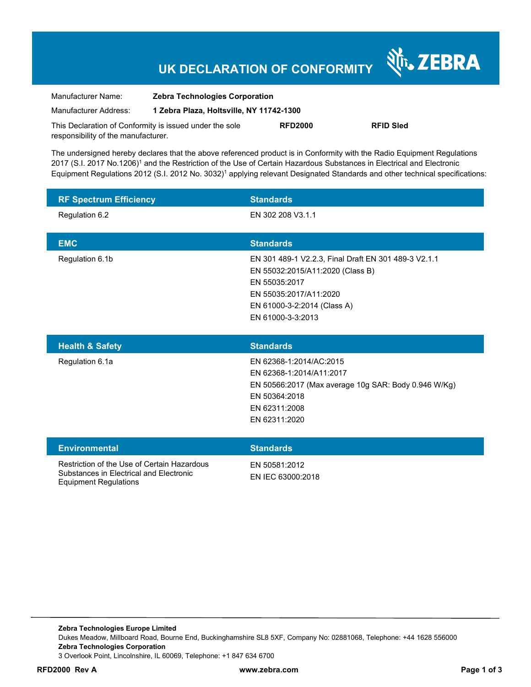# **UK DECLARATION OF CONFORMITY**

Nr. ZEBRA

| Manufacturer Name:                                      | <b>Zebra Technologies Corporation</b>    |                |                  |
|---------------------------------------------------------|------------------------------------------|----------------|------------------|
| Manufacturer Address:                                   | 1 Zebra Plaza, Holtsville, NY 11742-1300 |                |                  |
| This Declaration of Conformity is issued under the sole |                                          | <b>RFD2000</b> | <b>RFID Sled</b> |
| responsibility of the manufacturer.                     |                                          |                |                  |

The undersigned hereby declares that the above referenced product is in Conformity with the Radio Equipment Regulations 2017 (S.I. 2017 No.1206)<sup>1</sup> and the Restriction of the Use of Certain Hazardous Substances in Electrical and Electronic Equipment Regulations 2012 (S.I. 2012 No. 3032)<sup>1</sup> applying relevant Designated Standards and other technical specifications:

| <b>RF Spectrum Efficiency</b> | <b>Standards</b>                                     |
|-------------------------------|------------------------------------------------------|
| Regulation 6.2                | EN 302 208 V3.1.1                                    |
|                               |                                                      |
| <b>EMC</b>                    | <b>Standards</b>                                     |
| Regulation 6.1b               | EN 301 489-1 V2.2.3, Final Draft EN 301 489-3 V2.1.1 |
|                               | EN 55032:2015/A11:2020 (Class B)                     |
|                               | EN 55035:2017                                        |
|                               | EN 55035:2017/A11:2020                               |
|                               | EN 61000-3-2:2014 (Class A)                          |
|                               | EN 61000-3-3:2013                                    |

| <b>Health &amp; Safety</b> | Standards                                            |
|----------------------------|------------------------------------------------------|
| Regulation 6.1a            | EN 62368-1:2014/AC:2015                              |
|                            | EN 62368-1:2014/A11:2017                             |
|                            | EN 50566:2017 (Max average 10g SAR: Body 0.946 W/Kg) |
|                            | EN 50364:2018                                        |
|                            | EN 62311:2008                                        |
|                            | EN 62311:2020                                        |
|                            |                                                      |

| <b>Environmental</b>                                                                                            | <b>Standards</b>                   |
|-----------------------------------------------------------------------------------------------------------------|------------------------------------|
| Restriction of the Use of Certain Hazardous<br>Substances in Electrical and Electronic<br>Equipment Regulations | EN 50581:2012<br>EN IEC 63000:2018 |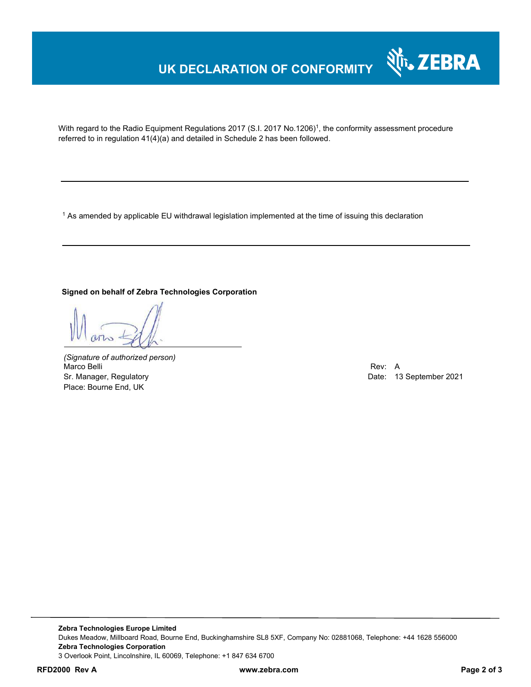### **UK DECLARATION OF CONFORMITY**



With regard to the Radio Equipment Regulations 2017 (S.I. 2017 No.1206)<sup>1</sup>, the conformity assessment procedure referred to in regulation 41(4)(a) and detailed in Schedule 2 has been followed.

 $^{\rm 1}$  As amended by applicable EU withdrawal legislation implemented at the time of issuing this declaration

### **Signed on behalf of Zebra Technologies Corporation**

*(Signature of authorized person)* Marco Belli Rev: A Sr. Manager, Regulatory **Date: 13 September 2021** Place: Bourne End, UK